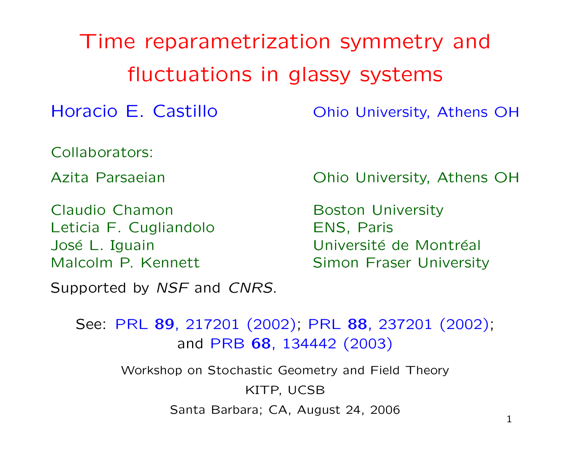Time reparametrization symmetry and fluctuations in glassy systems Horacio E. Castillo **Chio University, Athens OH** Collaborators: Azita Parsaeian **Chio University, Athens OH** Claudio Chamon Boston University Leticia F. Cugliandolo **ENS, Paris** José L. Iguain **Election Establisher Université de Montréal** Malcolm P. Kennett Simon Fraser University Supported by NSF and CNRS. See: PRL 89, 217201 (2002); PRL 88, 237201 (2002); and PRB 68, 134442 (2003) Workshop on Stochastic Geometry and Field Theory

Santa Barbara; CA, August 24, 2006 1

KITP, UCSB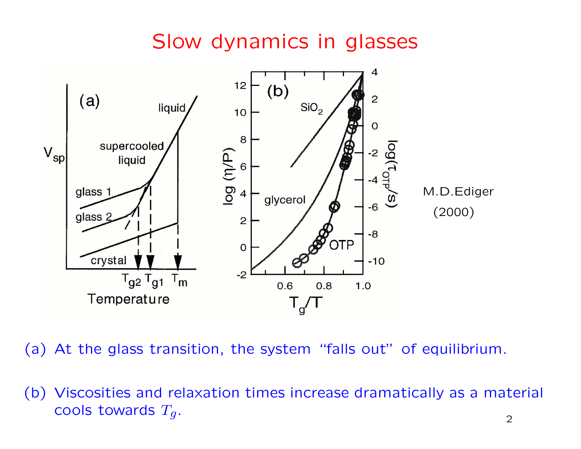## Slow dynamics in glasses



(a) At the glass transition, the system "falls out" of equilibrium.

(b) Viscosities and relaxation times increase dramatically as <sup>a</sup> material cools towards  $T_g$ .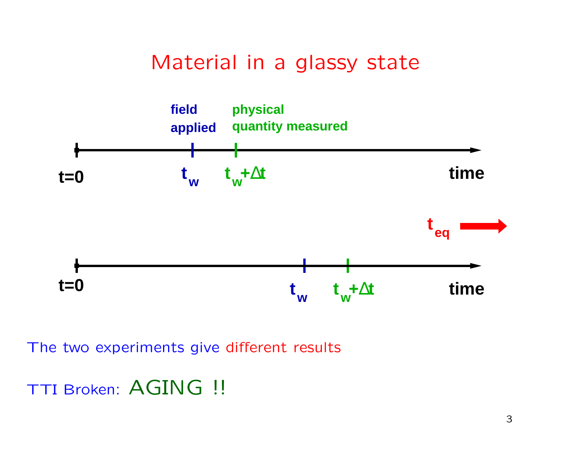Material in <sup>a</sup> glassy state

![](_page_2_Figure_1.jpeg)

The two experiments give different results

TTI Broken: AGING !!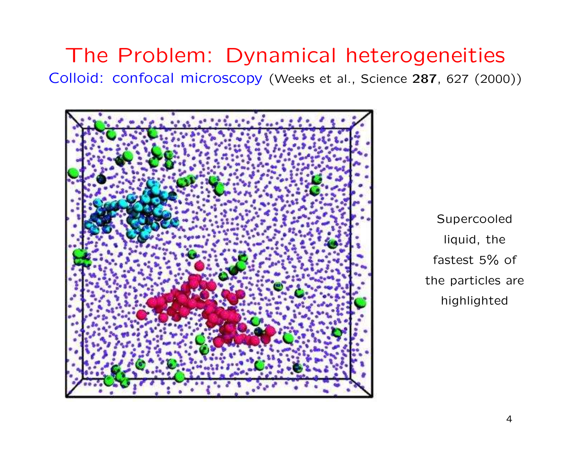## The Problem: Dynamical heterogeneities Colloid: confocal microscopy (Weeks et al., Science <sup>287</sup>, <sup>627</sup> (2000))

![](_page_3_Picture_1.jpeg)

Supercooled liquid, the fastest 5% of the particles are highlighted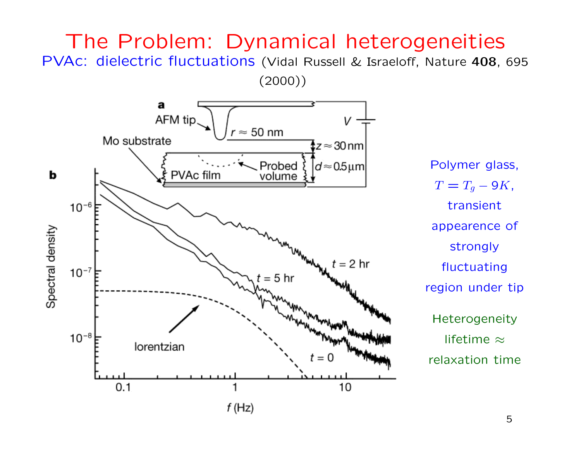## The Problem: Dynamical heterogeneities PVAc: dielectric fluctuations (Vidal Russell & Israeloff, Nature <sup>408</sup>, <sup>695</sup>

(2000))

![](_page_4_Figure_1.jpeg)

 $T = T_g - 9K$ , transient appearence of strongly fluctuating region under tip Heterogeneity lifetime <sup>≈</sup> relaxation time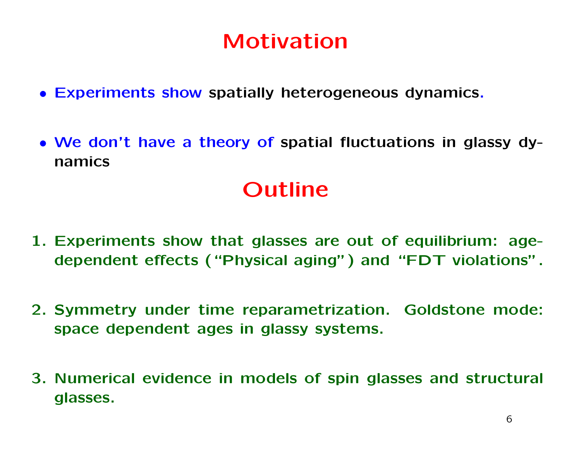# Motivation

- Experiments show spatially heterogeneous dynamics.
- We don't have <sup>a</sup> theory of spatial fluctuations in glassy dynamics

# Outline

- 1. Experiments show that glasses are out of equilibrium: agedependent effects ("Physical aging") and "FDT violations".
- 2. Symmetry under time reparametrization. Goldstone mode: space dependent ages in glassy systems.
- 3. Numerical evidence in models of spin glasses and structural glasses.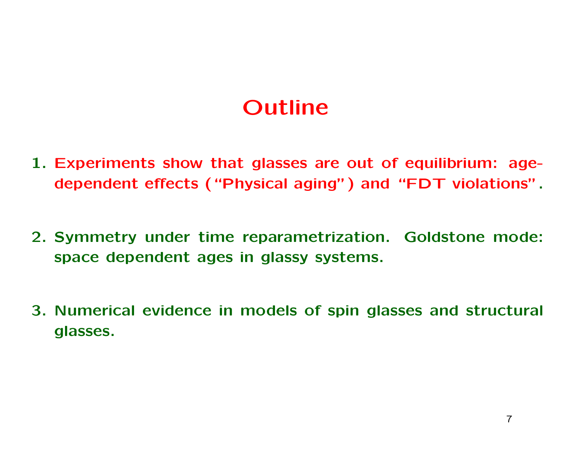# Outline

- 1. Experiments show that glasses are out of equilibrium: agedependent effects ("Physical aging") and "FDT violations".
- 2. Symmetry under time reparametrization. Goldstone mode: space dependent ages in glassy systems.
- 3. Numerical evidence in models of spin glasses and structural glasses.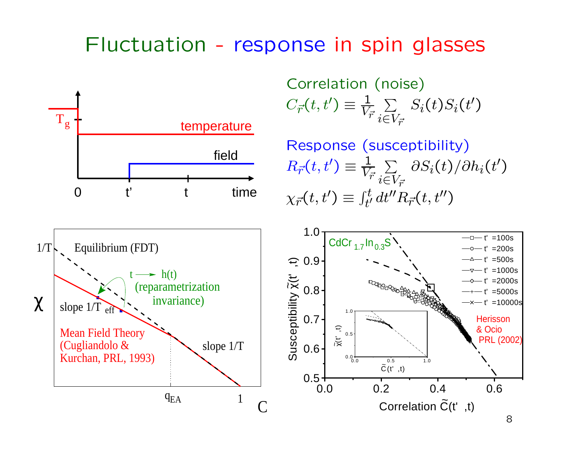#### Fluctuation -- response in spin glasses

![](_page_7_Figure_1.jpeg)

Mean Field Theory

Kurchan, PRL, 1993)

(Cugliandolo &

slope 1/T

 $q_{EA}$  1

Correlation (noise)  $C_{\vec{r}}(t,t') \equiv \frac{1}{V}$  $V_{\vec{r}}$  $\sum$  $i {\in} V_{\vec{r}}$  $S_i(t)S_i(t')$ 

Response (susceptibility)  $R_{\vec{r}}(t,t') \equiv \frac{1}{V}$  $V_{\vec{r}}$  $\sum$  $i{\in}V_{\vec{r}}$  $\partial S_i(t)/\partial h_i(t')$  $\chi_{\vec{r}}(t,t') \equiv \int_{t'}^t dt'' R_{\vec{r}}(t,t'')$ 

![](_page_7_Figure_4.jpeg)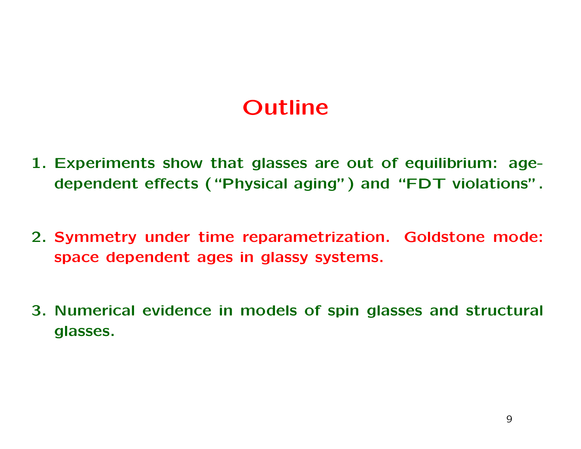# Outline

- 1. Experiments show that glasses are out of equilibrium: agedependent effects ("Physical aging") and "FDT violations".
- 2. Symmetry under time reparametrization. Goldstone mode: space dependent ages in glassy systems.
- 3. Numerical evidence in models of spin glasses and structural glasses.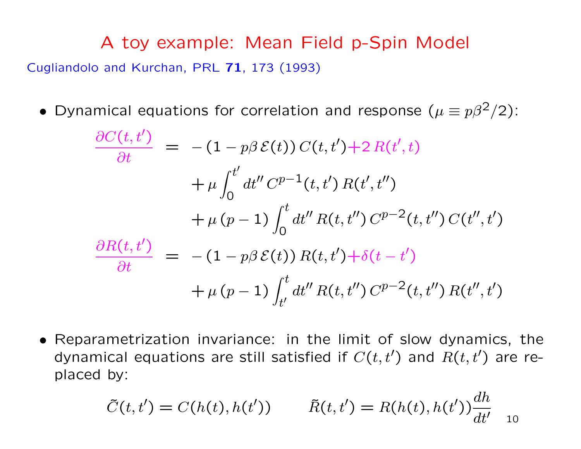A toy example: Mean Field p-Spin Model Cugliandolo and Kurchan, PRL 71, 173 (1993)

• Dynamical equations for correlation and response  $(\mu \equiv p \beta^2/2)$ :

$$
\frac{\partial C(t,t')}{\partial t} = -(1 - p\beta \mathcal{E}(t)) C(t,t') + 2 R(t',t) \n+ \mu \int_0^{t'} dt'' C^{p-1}(t,t') R(t',t'') \n+ \mu (p-1) \int_0^t dt'' R(t,t'') C^{p-2}(t,t'') C(t'',t') \n\frac{\partial R(t,t')}{\partial t} = -(1 - p\beta \mathcal{E}(t)) R(t,t') + \delta(t-t') \n+ \mu (p-1) \int_{t'}^t dt'' R(t,t'') C^{p-2}(t,t'') R(t'',t')
$$

• Reparametrization invariance: in the limit of slow dynamics, the dynamical equations are still satisfied if  $C(t,t')$  and  $R(t,t')$  are replaced by:

$$
\tilde{C}(t,t') = C(h(t),h(t')) \qquad \tilde{R}(t,t') = R(h(t),h(t'))\frac{dh}{dt'}_{10}
$$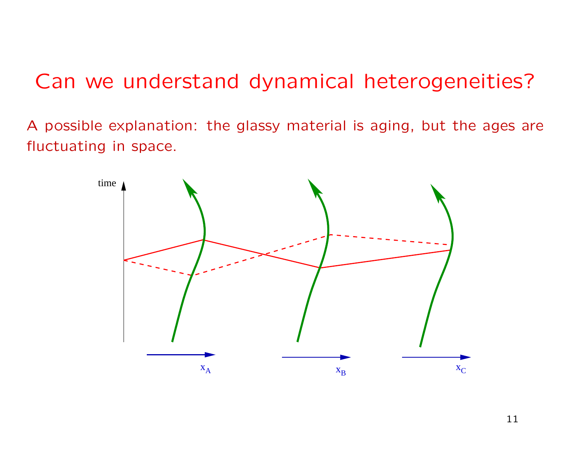## Can we understand dynamical heterogeneities?

A possible explanation: the glassy material is aging, but the ages are fluctuating in space.

![](_page_10_Figure_2.jpeg)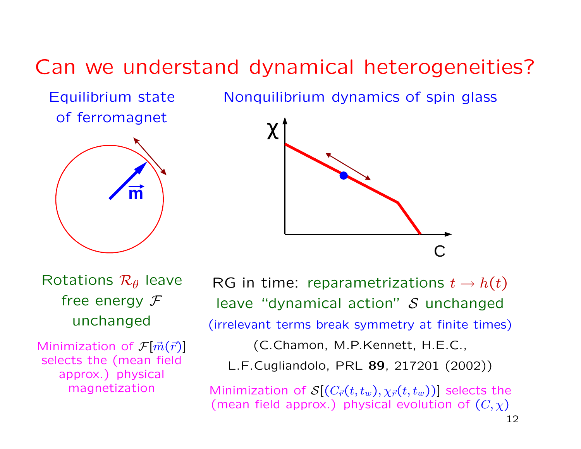# Can we understand dynamical heterogeneities?

Equilibrium state of ferromagnet

![](_page_11_Picture_2.jpeg)

Nonquilibrium dynamics of spin glass

![](_page_11_Figure_4.jpeg)

Rotations  $\mathcal{R}_{\theta}$  leave free energy  $\mathcal F$ unchanged

Minimization of  $\mathcal{F}[\vec{m}(\vec{r})]$ selects the (mean field approx.) physical magnetization

RG in time: reparametrizations  $t \to h(t)$ leave "dynamical action"  $S$  unchanged (irrelevant terms break symmetry at finite times)

(C.Chamon, M.P.Kennett, H.E.C.,

L.F.Cugliandolo, PRL 89, 217201 (2002))

Minimization of  $S[(C_{\vec{r}}(t,t_w), \chi_{\vec{r}}(t,t_w))]$  selects the (mean field approx.) physical evolution of  $(C, \chi)$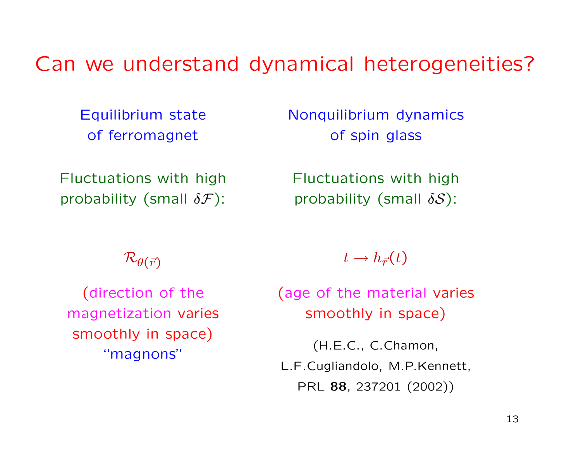## Can we understand dynamical heterogeneities?

Equilibrium state of ferromagnet

Fluctuations with high probability (small  $\delta \mathcal{F}$ ):

 $\mathcal{R}_{\theta(\vec{r})}$ 

(direction of the magnetization varies smoothly in space) "magnons"

Nonquilibrium dynamics of spin glass

Fluctuations with high probability (small  $\delta S$ ):

 $t \rightarrow h_{\vec{r}}(t)$ 

(age of the material varies smoothly in space)

(H.E.C., C.Chamon, L.F.Cugliandolo, M.P.Kennett, PRL 88, 237201 (2002))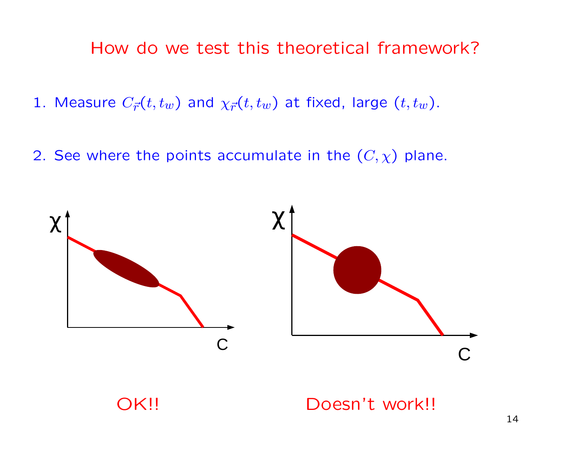#### How do we test this theoretical framework?

- 1. Measure  $C_{\vec{r}}(t,t_w)$  and  $\chi_{\vec{r}}(t,t_w)$  at fixed, large  $(t,t_w)$ .
- 2. See where the points accumulate in the  $(C, \chi)$  plane.

![](_page_13_Figure_3.jpeg)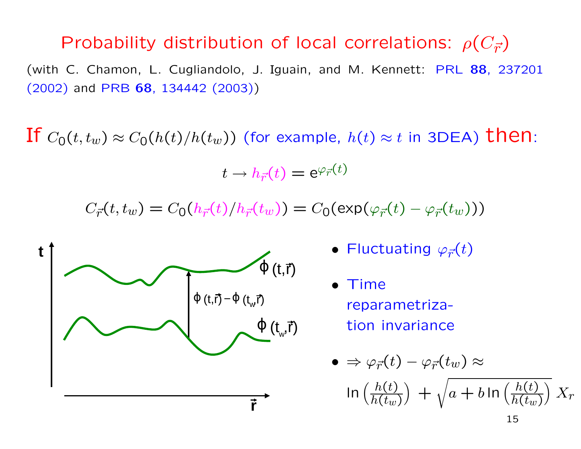## Probability distribution of local correlations:  $\rho(C_{\vec{r}})$

(with C. Chamon, L. Cugliandolo, J. Iguain, and M. Kennett: PRL 88, 237201 (2002) and PRB 68, 134442 (2003))

If  $C_0(t,t_w) \approx C_0(h(t)/h(t_w))$  (for example,  $h(t) \approx t$  in 3DEA) then:

$$
t\to h_{\vec{r}}(t)=\mathrm{e}^{\varphi_{\vec{r}}(t)}
$$

 $C_{\vec{r}}(t,t_w) = C_0(h_{\vec{r}}(t)/h_{\vec{r}}(t_w)) = C_0(\exp(\varphi_{\vec{r}}(t) - \varphi_{\vec{r}}(t_w)))$ 

![](_page_14_Figure_5.jpeg)

- Fluctuating  $\varphi_{\vec{r}}(t)$
- Time reparametrization invariance

•

$$
\bullet \Rightarrow \varphi_{\vec{r}}(t) - \varphi_{\vec{r}}(t_w) \approx
$$
  

$$
\ln \left( \frac{h(t)}{h(t_w)} \right) + \sqrt{a + b \ln \left( \frac{h(t)}{h(t_w)} \right)} X_r
$$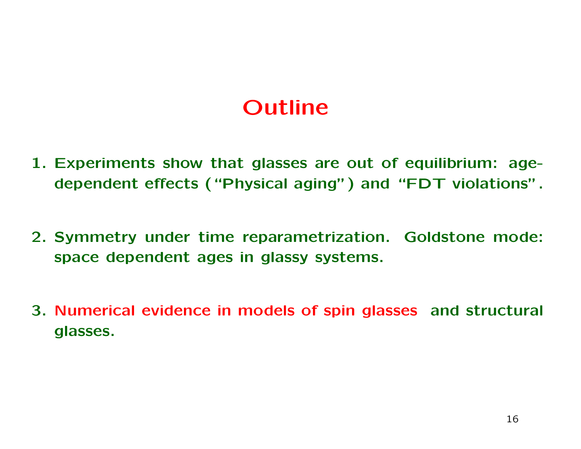# Outline

- 1. Experiments show that glasses are out of equilibrium: agedependent effects ("Physical aging") and "FDT violations".
- 2. Symmetry under time reparametrization. Goldstone mode: space dependent ages in glassy systems.
- 3. Numerical evidence in models of spin glasses and structural glasses.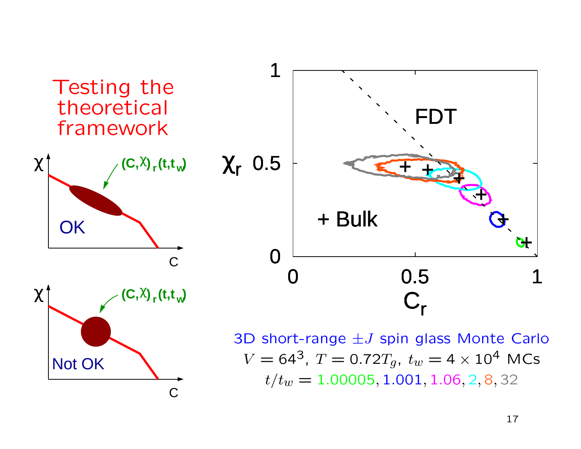![](_page_16_Figure_0.jpeg)

C

Not OK

 $V = 64^3$ ,  $T = 0.72T_g$ ,  $t_w = 4 \times 10^4$  MCs  $t/t_w = 1.00005, 1.001, 1.06, 2, 8, 32$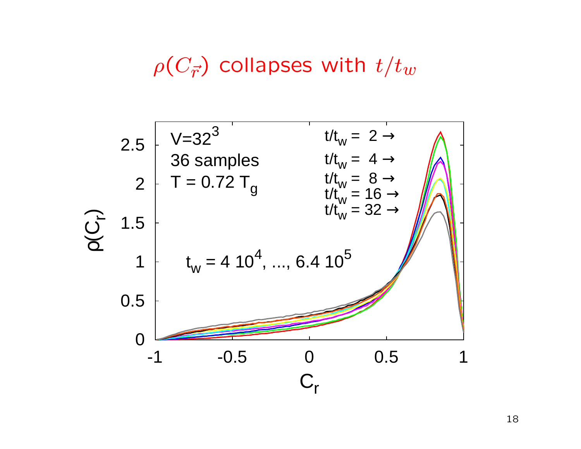# $\rho(C_{\vec{r}})$  collapses with  $t/t_w$

![](_page_17_Figure_1.jpeg)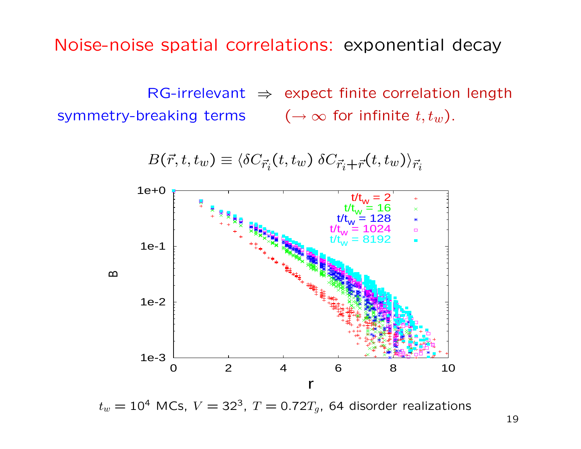Noise-noise spatial correlations: exponential decay

 $RG-irrelevant \Rightarrow$  expect finite correlation length symmetry-breaking terms  $(\rightarrow \infty$  for infinite  $t, t_w$ ).

![](_page_18_Figure_2.jpeg)

 $B(\vec{r},t,t_w) \equiv \langle \delta C_{\vec{r}_i}(t,t_w) \, \delta C_{\vec{r}_i+\vec{r}}(t,t_w) \rangle_{\vec{r}_i}$ 

 $t_w = 10^4$  MCs,  $V = 32^3$ ,  $T = 0.72T_g$ , 64 disorder realizations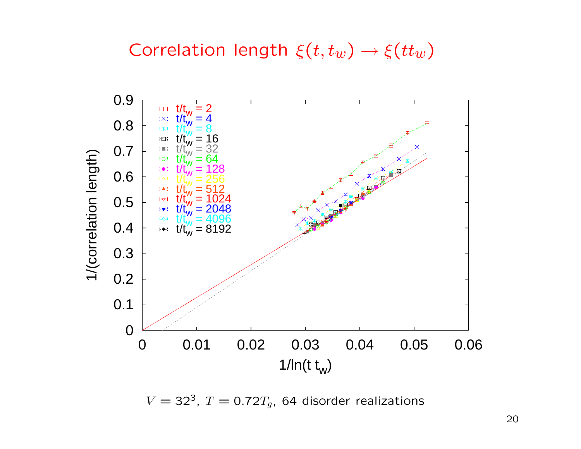Correlation length  $\xi(t,t_w) \rightarrow \xi(t_t_w)$ 

![](_page_19_Figure_1.jpeg)

 $V = 32<sup>3</sup>$ ,  $T = 0.72T<sub>g</sub>$ , 64 disorder realizations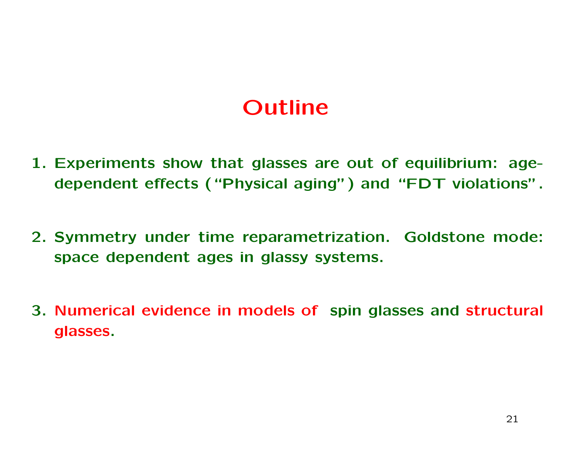# Outline

- 1. Experiments show that glasses are out of equilibrium: agedependent effects ("Physical aging") and "FDT violations".
- 2. Symmetry under time reparametrization. Goldstone mode: space dependent ages in glassy systems.
- 3. Numerical evidence in models of spin glasses and structural glasses.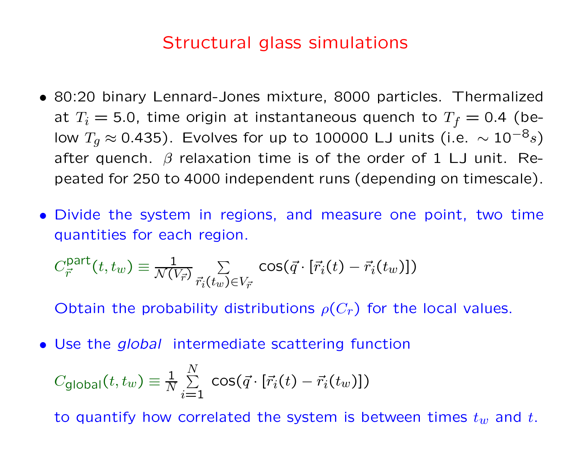### Structural glass simulations

- 80:20 binary Lennard-Jones mixture, 8000 particles. Thermalized at  $T_i = 5.0$ , time origin at instantaneous quench to  $T_f = 0.4$  (below  $T_g \approx 0.435$ ). Evolves for up to 100000 LJ units (i.e.  $\sim 10^{-8}s$ ) after quench.  $\beta$  relaxation time is of the order of 1 LJ unit. Repeated for 250 to 4000 independent runs (depending on timescale).
- Divide the system in regions, and measure one point, two time quantities for each region.

$$
C_{\vec{r}}^{\text{part}}(t,t_w) \equiv \frac{1}{\mathcal{N}(V_{\vec{r}})} \sum_{\vec{r}_i(t_w) \in V_{\vec{r}}} \cos(\vec{q} \cdot [\vec{r}_i(t) - \vec{r}_i(t_w)])
$$

Obtain the probability distributions  $\rho(C_r)$  for the local values.

• Use the *global* intermediate scattering function

$$
C_{\text{global}}(t, t_w) \equiv \frac{1}{N} \sum_{i=1}^{N} \cos(\vec{q} \cdot [\vec{r}_i(t) - \vec{r}_i(t_w)])
$$

to quantify how correlated the system is between times  $t_w$  and  $t$ .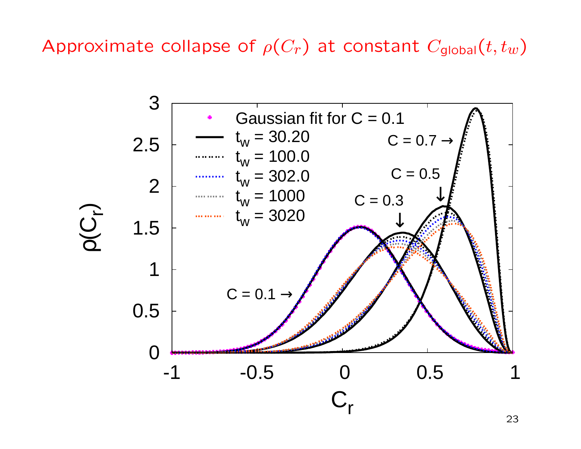Approximate collapse of  $\rho(C_r)$  at constant  $C_{\text{global}}(t,t_w)$ 

![](_page_22_Figure_1.jpeg)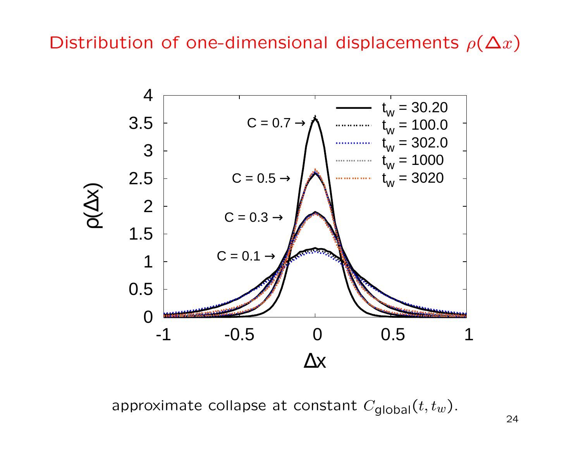Distribution of one-dimensional displacements  $\rho(\Delta x)$ 

![](_page_23_Figure_1.jpeg)

approximate collapse at constant  $C_{\text{global}}(t, t_w)$ .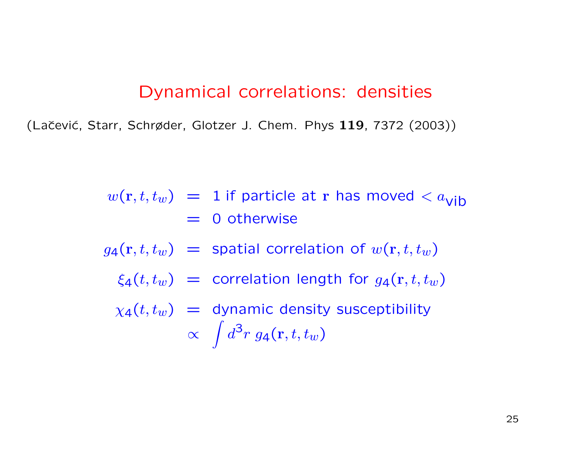#### Dynamical correlations: densities

(Lačević, Starr, Schrøder, Glotzer J. Chem. Phys 119, 7372 (2003))

$$
w(\mathbf{r}, t, t_w) = 1
$$
 if particle at **r** has moved  $\langle a_{\text{vib}} \rangle$   
= 0 otherwise

$$
g_4(\mathbf{r}, t, t_w)
$$
 = spatial correlation of  $w(\mathbf{r}, t, t_w)$ 

$$
\xi_4(t, t_w)
$$
 = correlation length for  $g_4(\mathbf{r}, t, t_w)$ 

 $\chi_4(t,t_w)$  = dynamic density susceptibility  $\propto \int d^3r \; g_4(\mathbf{r},t,t_w)$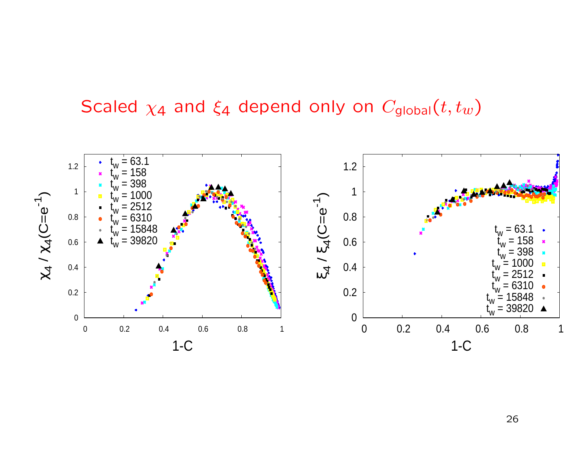## Scaled  $\chi_4$  and  $\xi_4$  depend only on  $C_{global}(t,t_w)$

![](_page_25_Figure_1.jpeg)

26